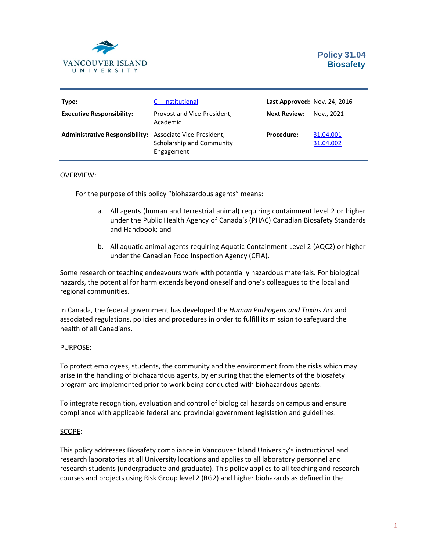

| Type:                                                    | C - Institutional                       | <b>Last Approved: Nov. 24, 2016</b> |                        |
|----------------------------------------------------------|-----------------------------------------|-------------------------------------|------------------------|
| <b>Executive Responsibility:</b>                         | Provost and Vice-President,<br>Academic | <b>Next Review:</b>                 | Nov., 2021             |
| Administrative Responsibility: Associate Vice-President, | Scholarship and Community<br>Engagement | <b>Procedure:</b>                   | 31.04.001<br>31.04.002 |

## OVERVIEW:

For the purpose of this policy "biohazardous agents" means:

- a. All agents (human and terrestrial animal) requiring containment level 2 or higher under the Public Health Agency of Canada's (PHAC) Canadian Biosafety Standards and Handbook; and
- b. All aquatic animal agents requiring Aquatic Containment Level 2 (AQC2) or higher under the Canadian Food Inspection Agency (CFIA).

Some research or teaching endeavours work with potentially hazardous materials. For biological hazards, the potential for harm extends beyond oneself and one's colleagues to the local and regional communities.

In Canada, the federal government has developed the *Human Pathogens and Toxins Act* and associated regulations, policies and procedures in order to fulfill its mission to safeguard the health of all Canadians.

## PURPOSE:

To protect employees, students, the community and the environment from the risks which may arise in the handling of biohazardous agents, by ensuring that the elements of the biosafety program are implemented prior to work being conducted with biohazardous agents.

To integrate recognition, evaluation and control of biological hazards on campus and ensure compliance with applicable federal and provincial government legislation and guidelines.

## SCOPE:

This policy addresses Biosafety compliance in Vancouver Island University's instructional and research laboratories at all University locations and applies to all laboratory personnel and research students (undergraduate and graduate). This policy applies to all teaching and research courses and projects using Risk Group level 2 (RG2) and higher biohazards as defined in the